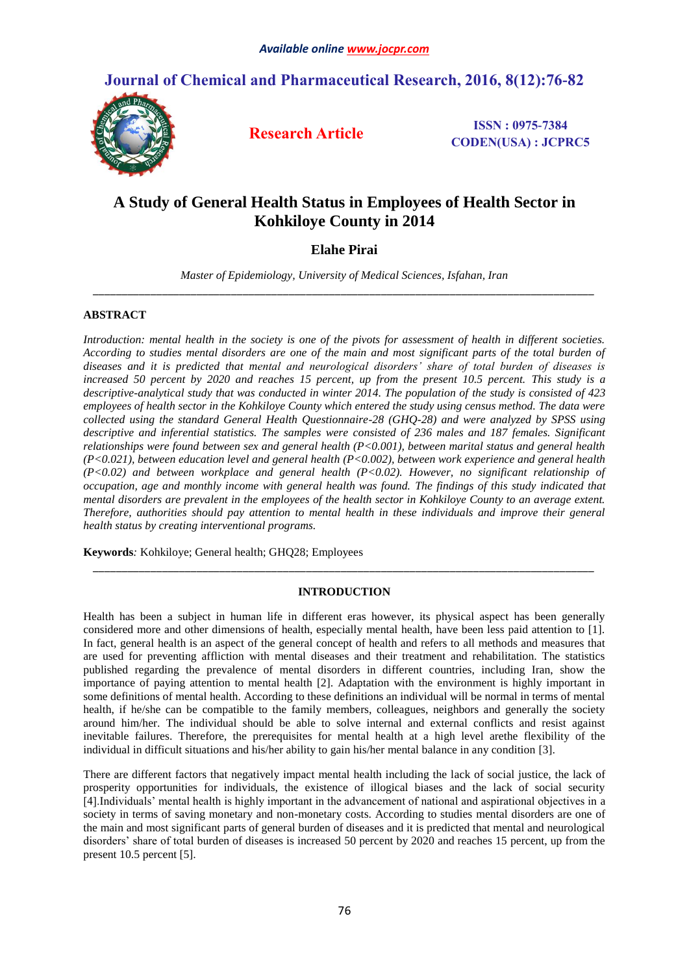## **Journal of Chemical and Pharmaceutical Research, 2016, 8(12):76-82**



**Research Article ISSN : 0975-7384 CODEN(USA) : JCPRC5**

# **A Study of General Health Status in Employees of Health Sector in Kohkiloye County in 2014**

## **Elahe Pirai**

*Master of Epidemiology, University of Medical Sciences, Isfahan, Iran \_\_\_\_\_\_\_\_\_\_\_\_\_\_\_\_\_\_\_\_\_\_\_\_\_\_\_\_\_\_\_\_\_\_\_\_\_\_\_\_\_\_\_\_\_\_\_\_\_\_\_\_\_\_\_\_\_\_\_\_\_\_\_\_\_\_\_\_\_\_\_\_\_\_\_\_\_\_\_\_\_\_\_\_\_\_\_*

## **ABSTRACT**

*Introduction: mental health in the society is one of the pivots for assessment of health in different societies. According to studies mental disorders are one of the main and most significant parts of the total burden of diseases and it is predicted that mental and neurological disorders' share of total burden of diseases is increased 50 percent by 2020 and reaches 15 percent, up from the present 10.5 percent. This study is a descriptive-analytical study that was conducted in winter 2014. The population of the study is consisted of 423 employees of health sector in the Kohkiloye County which entered the study using census method. The data were collected using the standard General Health Questionnaire-28 (GHQ-28) and were analyzed by SPSS using descriptive and inferential statistics. The samples were consisted of 236 males and 187 females. Significant relationships were found between sex and general health (P<0.001), between marital status and general health (P<0.021), between education level and general health (P<0.002), between work experience and general health (P<0.02) and between workplace and general health (P<0.02). However, no significant relationship of occupation, age and monthly income with general health was found. The findings of this study indicated that mental disorders are prevalent in the employees of the health sector in Kohkiloye County to an average extent. Therefore, authorities should pay attention to mental health in these individuals and improve their general health status by creating interventional programs.*

**Keywords***:* Kohkiloye; General health; GHQ28; Employees

## **INTRODUCTION**

*\_\_\_\_\_\_\_\_\_\_\_\_\_\_\_\_\_\_\_\_\_\_\_\_\_\_\_\_\_\_\_\_\_\_\_\_\_\_\_\_\_\_\_\_\_\_\_\_\_\_\_\_\_\_\_\_\_\_\_\_\_\_\_\_\_\_\_\_\_\_\_\_\_\_\_\_\_\_\_\_\_\_\_\_\_\_\_*

Health has been a subject in human life in different eras however, its physical aspect has been generally considered more and other dimensions of health, especially mental health, have been less paid attention to [1]. In fact, general health is an aspect of the general concept of health and refers to all methods and measures that are used for preventing affliction with mental diseases and their treatment and rehabilitation. The statistics published regarding the prevalence of mental disorders in different countries, including Iran, show the importance of paying attention to mental health [2]. Adaptation with the environment is highly important in some definitions of mental health. According to these definitions an individual will be normal in terms of mental health, if he/she can be compatible to the family members, colleagues, neighbors and generally the society around him/her. The individual should be able to solve internal and external conflicts and resist against inevitable failures. Therefore, the prerequisites for mental health at a high level arethe flexibility of the individual in difficult situations and his/her ability to gain his/her mental balance in any condition [3].

There are different factors that negatively impact mental health including the lack of social justice, the lack of prosperity opportunities for individuals, the existence of illogical biases and the lack of social security [4].Individuals' mental health is highly important in the advancement of national and aspirational objectives in a society in terms of saving monetary and non-monetary costs. According to studies mental disorders are one of the main and most significant parts of general burden of diseases and it is predicted that mental and neurological disorders' share of total burden of diseases is increased 50 percent by 2020 and reaches 15 percent, up from the present 10.5 percent [5].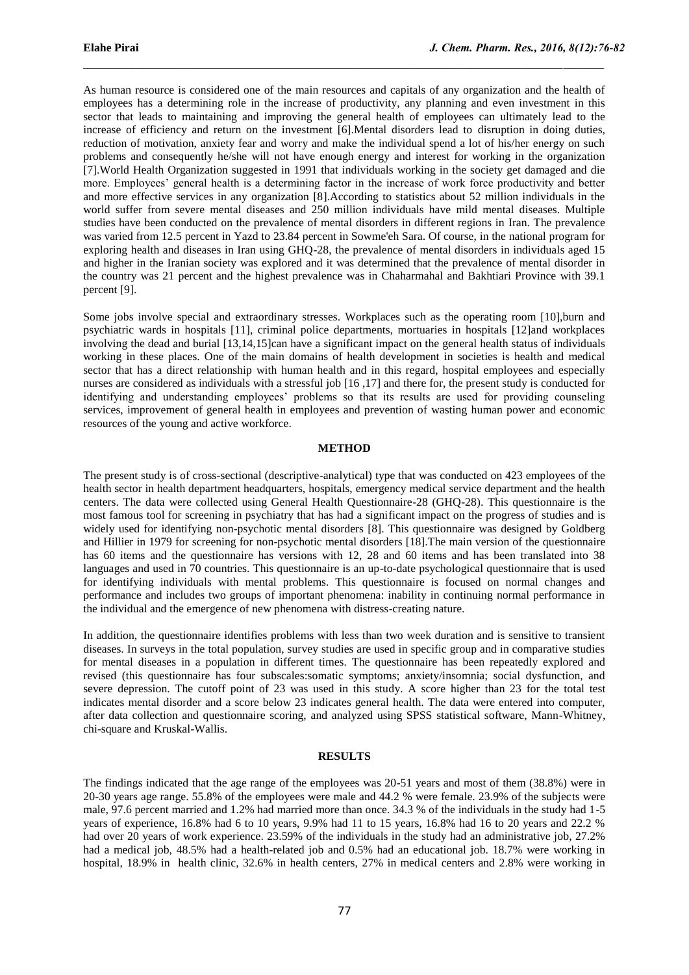As human resource is considered one of the main resources and capitals of any organization and the health of employees has a determining role in the increase of productivity, any planning and even investment in this sector that leads to maintaining and improving the general health of employees can ultimately lead to the increase of efficiency and return on the investment [6].Mental disorders lead to disruption in doing duties, reduction of motivation, anxiety fear and worry and make the individual spend a lot of his/her energy on such problems and consequently he/she will not have enough energy and interest for working in the organization [7].World Health Organization suggested in 1991 that individuals working in the society get damaged and die more. Employees' general health is a determining factor in the increase of work force productivity and better and more effective services in any organization [8].According to statistics about 52 million individuals in the world suffer from severe mental diseases and 250 million individuals have mild mental diseases. Multiple studies have been conducted on the prevalence of mental disorders in different regions in Iran. The prevalence was varied from 12.5 percent in Yazd to 23.84 percent in Sowme'eh Sara. Of course, in the national program for exploring health and diseases in Iran using GHQ-28, the prevalence of mental disorders in individuals aged 15 and higher in the Iranian society was explored and it was determined that the prevalence of mental disorder in the country was 21 percent and the highest prevalence was in Chaharmahal and Bakhtiari Province with 39.1 percent [9].

 $\mathcal{L}_\mathcal{L}$  , and the state of the state of the state of the state of the state of the state of the state of the state of the state of the state of the state of the state of the state of the state of the state of the s

Some jobs involve special and extraordinary stresses. Workplaces such as the operating room [10],burn and psychiatric wards in hospitals [11], criminal police departments, mortuaries in hospitals [12]and workplaces involving the dead and burial [13,14,15]can have a significant impact on the general health status of individuals working in these places. One of the main domains of health development in societies is health and medical sector that has a direct relationship with human health and in this regard, hospital employees and especially nurses are considered as individuals with a stressful job [16 ,17] and there for, the present study is conducted for identifying and understanding employees' problems so that its results are used for providing counseling services, improvement of general health in employees and prevention of wasting human power and economic resources of the young and active workforce.

## **METHOD**

The present study is of cross-sectional (descriptive-analytical) type that was conducted on 423 employees of the health sector in health department headquarters, hospitals, emergency medical service department and the health centers. The data were collected using General Health Questionnaire-28 (GHQ-28). This questionnaire is the most famous tool for screening in psychiatry that has had a significant impact on the progress of studies and is widely used for identifying non-psychotic mental disorders [8]. This questionnaire was designed by Goldberg and Hillier in 1979 for screening for non-psychotic mental disorders [18].The main version of the questionnaire has 60 items and the questionnaire has versions with 12, 28 and 60 items and has been translated into 38 languages and used in 70 countries. This questionnaire is an up-to-date psychological questionnaire that is used for identifying individuals with mental problems. This questionnaire is focused on normal changes and performance and includes two groups of important phenomena: inability in continuing normal performance in the individual and the emergence of new phenomena with distress-creating nature.

In addition, the questionnaire identifies problems with less than two week duration and is sensitive to transient diseases. In surveys in the total population, survey studies are used in specific group and in comparative studies for mental diseases in a population in different times. The questionnaire has been repeatedly explored and revised (this questionnaire has four subscales:somatic symptoms; anxiety/insomnia; social dysfunction, and severe depression. The cutoff point of 23 was used in this study. A score higher than 23 for the total test indicates mental disorder and a score below 23 indicates general health. The data were entered into computer, after data collection and questionnaire scoring, and analyzed using SPSS statistical software, Mann-Whitney, chi-square and Kruskal-Wallis.

#### **RESULTS**

The findings indicated that the age range of the employees was 20-51 years and most of them (38.8%) were in 20-30 years age range. 55.8% of the employees were male and 44.2 % were female. 23.9% of the subjects were male, 97.6 percent married and 1.2% had married more than once. 34.3 % of the individuals in the study had 1-5 years of experience, 16.8% had 6 to 10 years, 9.9% had 11 to 15 years, 16.8% had 16 to 20 years and 22.2 % had over 20 years of work experience. 23.59% of the individuals in the study had an administrative job, 27.2% had a medical job, 48.5% had a health-related job and 0.5% had an educational job. 18.7% were working in hospital, 18.9% in health clinic, 32.6% in health centers, 27% in medical centers and 2.8% were working in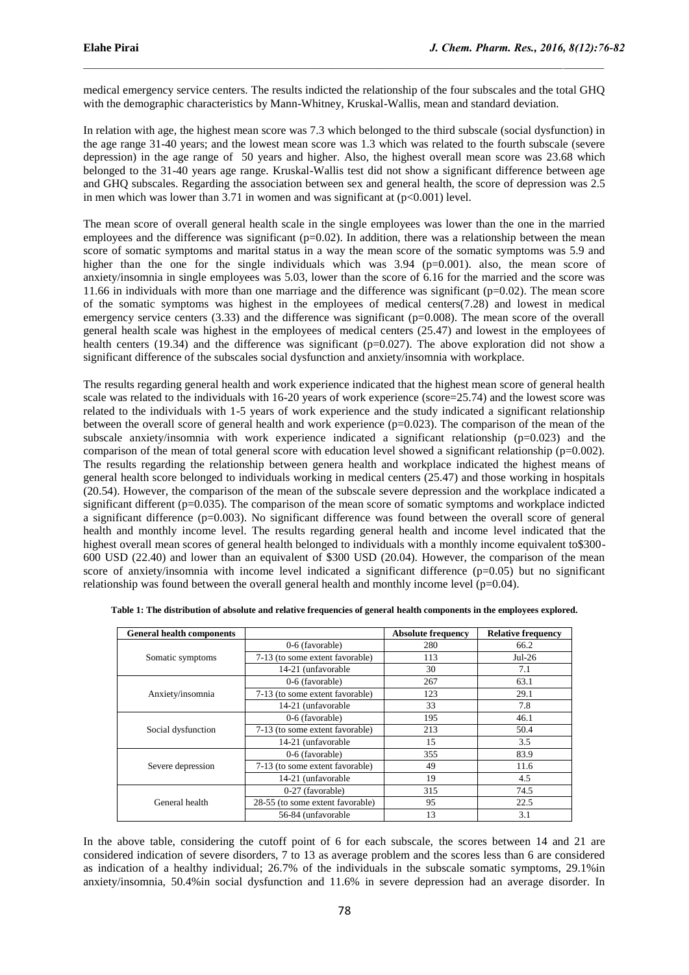medical emergency service centers. The results indicted the relationship of the four subscales and the total GHQ with the demographic characteristics by Mann-Whitney, Kruskal-Wallis, mean and standard deviation.

 $\mathcal{L}_\mathcal{L}$  , and the state of the state of the state of the state of the state of the state of the state of the state of the state of the state of the state of the state of the state of the state of the state of the s

In relation with age, the highest mean score was 7.3 which belonged to the third subscale (social dysfunction) in the age range 31-40 years; and the lowest mean score was 1.3 which was related to the fourth subscale (severe depression) in the age range of 50 years and higher. Also, the highest overall mean score was 23.68 which belonged to the 31-40 years age range. Kruskal-Wallis test did not show a significant difference between age and GHQ subscales. Regarding the association between sex and general health, the score of depression was 2.5 in men which was lower than 3.71 in women and was significant at  $(p<0.001)$  level.

The mean score of overall general health scale in the single employees was lower than the one in the married employees and the difference was significant ( $p=0.02$ ). In addition, there was a relationship between the mean score of somatic symptoms and marital status in a way the mean score of the somatic symptoms was 5.9 and higher than the one for the single individuals which was 3.94 (p=0.001). also, the mean score of anxiety/insomnia in single employees was 5.03, lower than the score of 6.16 for the married and the score was 11.66 in individuals with more than one marriage and the difference was significant (p=0.02). The mean score of the somatic symptoms was highest in the employees of medical centers(7.28) and lowest in medical emergency service centers (3.33) and the difference was significant (p=0.008). The mean score of the overall general health scale was highest in the employees of medical centers (25.47) and lowest in the employees of health centers (19.34) and the difference was significant ( $p=0.027$ ). The above exploration did not show a significant difference of the subscales social dysfunction and anxiety/insomnia with workplace.

The results regarding general health and work experience indicated that the highest mean score of general health scale was related to the individuals with 16-20 years of work experience (score=25.74) and the lowest score was related to the individuals with 1-5 years of work experience and the study indicated a significant relationship between the overall score of general health and work experience  $(p=0.023)$ . The comparison of the mean of the subscale anxiety/insomnia with work experience indicated a significant relationship  $(p=0.023)$  and the comparison of the mean of total general score with education level showed a significant relationship ( $p=0.002$ ). The results regarding the relationship between genera health and workplace indicated the highest means of general health score belonged to individuals working in medical centers (25.47) and those working in hospitals (20.54). However, the comparison of the mean of the subscale severe depression and the workplace indicated a significant different  $(p=0.035)$ . The comparison of the mean score of somatic symptoms and workplace indicted a significant difference  $(p=0.003)$ . No significant difference was found between the overall score of general health and monthly income level. The results regarding general health and income level indicated that the highest overall mean scores of general health belonged to individuals with a monthly income equivalent to\$300- 600 USD (22.40) and lower than an equivalent of \$300 USD (20.04). However, the comparison of the mean score of anxiety/insomnia with income level indicated a significant difference  $(p=0.05)$  but no significant relationship was found between the overall general health and monthly income level  $(p=0.04)$ .

| <b>General health components</b> |                                  | <b>Absolute frequency</b> | <b>Relative frequency</b> |  |
|----------------------------------|----------------------------------|---------------------------|---------------------------|--|
|                                  | 0-6 (favorable)                  | 280                       | 66.2                      |  |
| Somatic symptoms                 | 7-13 (to some extent favorable)  | 113                       | $Jul-26$                  |  |
|                                  | 14-21 (unfavorable)              | 30                        | 7.1                       |  |
|                                  | 0-6 (favorable)                  | 267                       | 63.1                      |  |
| Anxiety/insomnia                 | 7-13 (to some extent favorable)  | 123                       | 29.1                      |  |
|                                  | 14-21 (unfavorable)              | 33                        | 7.8                       |  |
| Social dysfunction               | 0-6 (favorable)                  | 195                       | 46.1                      |  |
|                                  | 7-13 (to some extent favorable)  | 213                       | 50.4                      |  |
|                                  | 14-21 (unfavorable)              | 15                        | 3.5                       |  |
|                                  | 0-6 (favorable)                  | 355                       | 83.9                      |  |
| Severe depression                | 7-13 (to some extent favorable)  | 49                        | 11.6                      |  |
|                                  | 14-21 (unfavorable)              | 19                        | 4.5                       |  |
|                                  | 0-27 (favorable)                 | 315                       | 74.5                      |  |
| General health                   | 28-55 (to some extent favorable) | 95                        | 22.5                      |  |
|                                  | 56-84 (unfavorable)              | 13                        | 3.1                       |  |

| Table 1: The distribution of absolute and relative frequencies of general health components in the employees explored. |  |  |  |
|------------------------------------------------------------------------------------------------------------------------|--|--|--|
|------------------------------------------------------------------------------------------------------------------------|--|--|--|

In the above table, considering the cutoff point of 6 for each subscale, the scores between 14 and 21 are considered indication of severe disorders, 7 to 13 as average problem and the scores less than 6 are considered as indication of a healthy individual; 26.7% of the individuals in the subscale somatic symptoms, 29.1%in anxiety/insomnia, 50.4%in social dysfunction and 11.6% in severe depression had an average disorder. In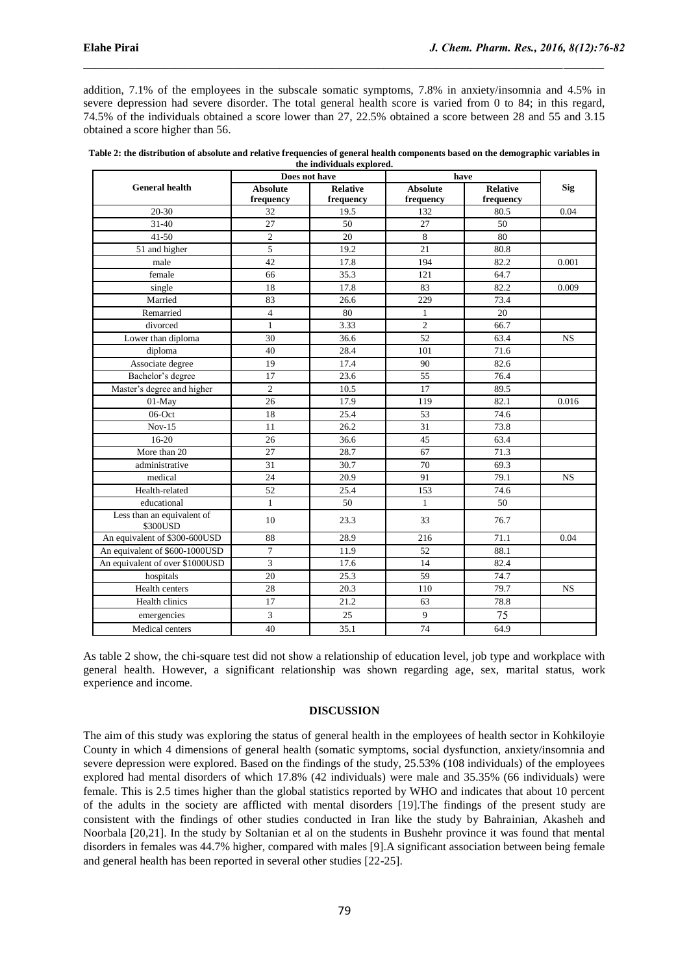addition, 7.1% of the employees in the subscale somatic symptoms, 7.8% in anxiety/insomnia and 4.5% in severe depression had severe disorder. The total general health score is varied from 0 to 84; in this regard, 74.5% of the individuals obtained a score lower than 27, 22.5% obtained a score between 28 and 55 and 3.15 obtained a score higher than 56.

 $\mathcal{L}_\mathcal{L}$  , and the state of the state of the state of the state of the state of the state of the state of the state of the state of the state of the state of the state of the state of the state of the state of the s

|                                        | the maividuals explored.<br>Does not have |                              | have                         |                              |            |
|----------------------------------------|-------------------------------------------|------------------------------|------------------------------|------------------------------|------------|
| <b>General health</b>                  | <b>Absolute</b><br>frequency              | <b>Relative</b><br>frequency | <b>Absolute</b><br>frequency | <b>Relative</b><br>frequency | <b>Sig</b> |
| $20 - 30$                              | 32                                        | 19.5                         | 132                          | 80.5                         | 0.04       |
| $31 - 40$                              | 27                                        | 50                           | 27                           | 50                           |            |
| $41 - 50$                              | $\overline{c}$                            | 20                           | 8                            | 80                           |            |
| 51 and higher                          | 5                                         | 19.2                         | 21                           | 80.8                         |            |
| male                                   | 42                                        | 17.8                         | 194                          | 82.2                         | 0.001      |
| female                                 | 66                                        | 35.3                         | 121                          | 64.7                         |            |
| single                                 | 18                                        | 17.8                         | 83                           | 82.2                         | 0.009      |
| Married                                | 83                                        | 26.6                         | 229                          | 73.4                         |            |
| Remarried                              | $\overline{4}$                            | 80                           | $\mathbf{1}$                 | 20                           |            |
| divorced                               | $\mathbf{1}$                              | 3.33                         | $\overline{2}$               | 66.7                         |            |
| Lower than diploma                     | 30                                        | 36.6                         | 52                           | 63.4                         | <b>NS</b>  |
| diploma                                | 40                                        | 28.4                         | 101                          | 71.6                         |            |
| Associate degree                       | 19                                        | 17.4                         | 90                           | 82.6                         |            |
| Bachelor's degree                      | 17                                        | 23.6                         | 55                           | 76.4                         |            |
| Master's degree and higher             | $\overline{c}$                            | 10.5                         | 17                           | 89.5                         |            |
| 01-May                                 | 26                                        | 17.9                         | 119                          | 82.1                         | 0.016      |
| $06$ -Oct                              | 18                                        | 25.4                         | 53                           | 74.6                         |            |
| $Nov-15$                               | 11                                        | 26.2                         | 31                           | 73.8                         |            |
| $16-20$                                | 26                                        | 36.6                         | 45                           | 63.4                         |            |
| More than 20                           | 27                                        | 28.7                         | 67                           | 71.3                         |            |
| administrative                         | 31                                        | 30.7                         | 70                           | 69.3                         |            |
| medical                                | 24                                        | 20.9                         | 91                           | 79.1                         | <b>NS</b>  |
| Health-related                         | 52                                        | 25.4                         | 153                          | 74.6                         |            |
| educational                            | $\mathbf{1}$                              | 50                           | $\mathbf{1}$                 | 50                           |            |
| Less than an equivalent of<br>\$300USD | 10                                        | 23.3                         | 33                           | 76.7                         |            |
| An equivalent of \$300-600USD          | 88                                        | 28.9                         | 216                          | 71.1                         | 0.04       |
| An equivalent of \$600-1000USD         | $\overline{7}$                            | 11.9                         | 52                           | 88.1                         |            |
| An equivalent of over \$1000USD        | 3                                         | 17.6                         | 14                           | 82.4                         |            |
| hospitals                              | 20                                        | 25.3                         | 59                           | 74.7                         |            |
| Health centers                         | 28                                        | 20.3                         | 110                          | 79.7                         | <b>NS</b>  |
| Health clinics                         | 17                                        | 21.2                         | 63                           | 78.8                         |            |
| emergencies                            | 3                                         | 25                           | 9                            | 75                           |            |
| Medical centers                        | 40                                        | 35.1                         | 74                           | 64.9                         |            |

| Table 2: the distribution of absolute and relative frequencies of general health components based on the demographic variables in |
|-----------------------------------------------------------------------------------------------------------------------------------|
| the individuals explored.                                                                                                         |

As table 2 show, the chi-square test did not show a relationship of education level, job type and workplace with general health. However, a significant relationship was shown regarding age, sex, marital status, work experience and income.

#### **DISCUSSION**

The aim of this study was exploring the status of general health in the employees of health sector in Kohkiloyie County in which 4 dimensions of general health (somatic symptoms, social dysfunction, anxiety/insomnia and severe depression were explored. Based on the findings of the study, 25.53% (108 individuals) of the employees explored had mental disorders of which 17.8% (42 individuals) were male and 35.35% (66 individuals) were female. This is 2.5 times higher than the global statistics reported by WHO and indicates that about 10 percent of the adults in the society are afflicted with mental disorders [19].The findings of the present study are consistent with the findings of other studies conducted in Iran like the study by Bahrainian, Akasheh and Noorbala [20,21]. In the study by Soltanian et al on the students in Bushehr province it was found that mental disorders in females was 44.7% higher, compared with males [9].A significant association between being female and general health has been reported in several other studies [22-25].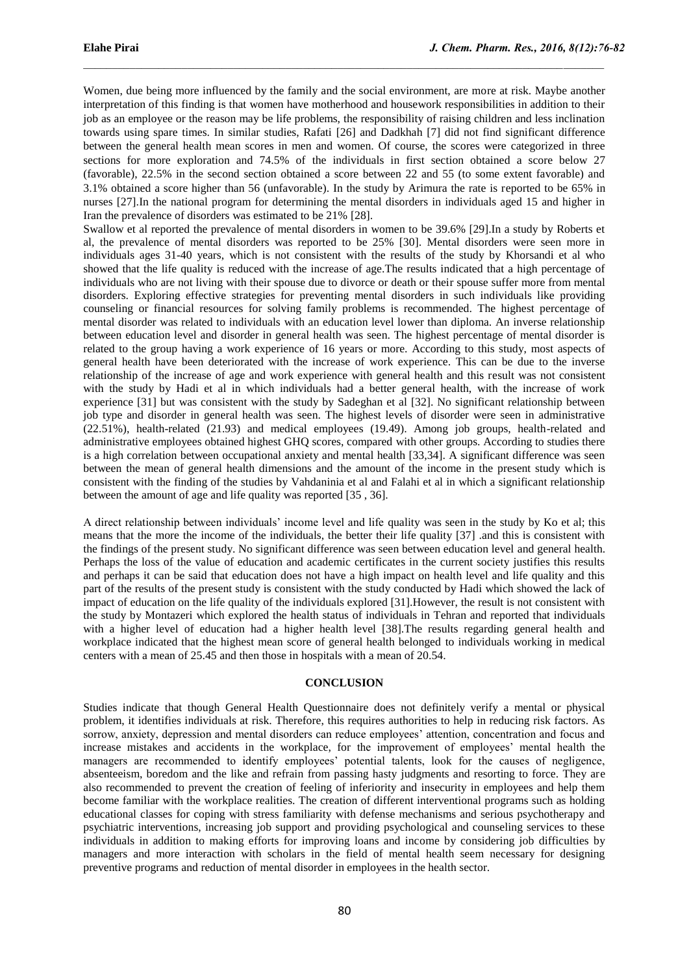Women, due being more influenced by the family and the social environment, are more at risk. Maybe another interpretation of this finding is that women have motherhood and housework responsibilities in addition to their job as an employee or the reason may be life problems, the responsibility of raising children and less inclination towards using spare times. In similar studies, Rafati [26] and Dadkhah [7] did not find significant difference between the general health mean scores in men and women. Of course, the scores were categorized in three sections for more exploration and 74.5% of the individuals in first section obtained a score below 27 (favorable), 22.5% in the second section obtained a score between 22 and 55 (to some extent favorable) and 3.1% obtained a score higher than 56 (unfavorable). In the study by Arimura the rate is reported to be 65% in nurses [27].In the national program for determining the mental disorders in individuals aged 15 and higher in Iran the prevalence of disorders was estimated to be 21% [28].

 $\mathcal{L}_\mathcal{L}$  , and the state of the state of the state of the state of the state of the state of the state of the state of the state of the state of the state of the state of the state of the state of the state of the s

Swallow et al reported the prevalence of mental disorders in women to be 39.6% [29].In a study by Roberts et al, the prevalence of mental disorders was reported to be 25% [30]. Mental disorders were seen more in individuals ages 31-40 years, which is not consistent with the results of the study by Khorsandi et al who showed that the life quality is reduced with the increase of age.The results indicated that a high percentage of individuals who are not living with their spouse due to divorce or death or their spouse suffer more from mental disorders. Exploring effective strategies for preventing mental disorders in such individuals like providing counseling or financial resources for solving family problems is recommended. The highest percentage of mental disorder was related to individuals with an education level lower than diploma. An inverse relationship between education level and disorder in general health was seen. The highest percentage of mental disorder is related to the group having a work experience of 16 years or more. According to this study, most aspects of general health have been deteriorated with the increase of work experience. This can be due to the inverse relationship of the increase of age and work experience with general health and this result was not consistent with the study by Hadi et al in which individuals had a better general health, with the increase of work experience [31] but was consistent with the study by Sadeghan et al [32]. No significant relationship between job type and disorder in general health was seen. The highest levels of disorder were seen in administrative (22.51%), health-related (21.93) and medical employees (19.49). Among job groups, health-related and administrative employees obtained highest GHQ scores, compared with other groups. According to studies there is a high correlation between occupational anxiety and mental health [33,34]. A significant difference was seen between the mean of general health dimensions and the amount of the income in the present study which is consistent with the finding of the studies by Vahdaninia et al and Falahi et al in which a significant relationship between the amount of age and life quality was reported [35 , 36].

A direct relationship between individuals' income level and life quality was seen in the study by Ko et al; this means that the more the income of the individuals, the better their life quality [37] .and this is consistent with the findings of the present study. No significant difference was seen between education level and general health. Perhaps the loss of the value of education and academic certificates in the current society justifies this results and perhaps it can be said that education does not have a high impact on health level and life quality and this part of the results of the present study is consistent with the study conducted by Hadi which showed the lack of impact of education on the life quality of the individuals explored [31].However, the result is not consistent with the study by Montazeri which explored the health status of individuals in Tehran and reported that individuals with a higher level of education had a higher health level [38].The results regarding general health and workplace indicated that the highest mean score of general health belonged to individuals working in medical centers with a mean of 25.45 and then those in hospitals with a mean of 20.54.

### **CONCLUSION**

Studies indicate that though General Health Questionnaire does not definitely verify a mental or physical problem, it identifies individuals at risk. Therefore, this requires authorities to help in reducing risk factors. As sorrow, anxiety, depression and mental disorders can reduce employees' attention, concentration and focus and increase mistakes and accidents in the workplace, for the improvement of employees' mental health the managers are recommended to identify employees' potential talents, look for the causes of negligence, absenteeism, boredom and the like and refrain from passing hasty judgments and resorting to force. They are also recommended to prevent the creation of feeling of inferiority and insecurity in employees and help them become familiar with the workplace realities. The creation of different interventional programs such as holding educational classes for coping with stress familiarity with defense mechanisms and serious psychotherapy and psychiatric interventions, increasing job support and providing psychological and counseling services to these individuals in addition to making efforts for improving loans and income by considering job difficulties by managers and more interaction with scholars in the field of mental health seem necessary for designing preventive programs and reduction of mental disorder in employees in the health sector.